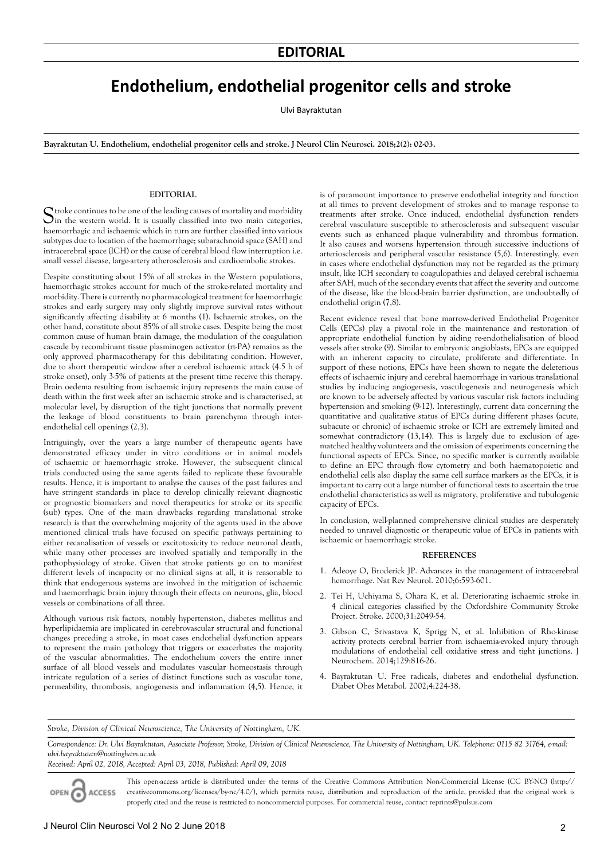## **Endothelium, endothelial progenitor cells and stroke**

Ulvi Bayraktutan

**Bayraktutan U. Endothelium, endothelial progenitor cells and stroke. J Neurol Clin Neurosci. 2018;2(2): 02-03.**

## **EDITORIAL**

Stroke continues to be one of the leading causes of mortality and morbidity in the western world. It is usually classified into two main categories, haemorrhagic and ischaemic which in turn are further classified into various subtypes due to location of the haemorrhage; subarachnoid space (SAH) and intracerebral space (ICH) or the cause of cerebral blood flow interruption i.e. small vessel disease, large-artery atherosclerosis and cardioembolic strokes.

Despite constituting about 15% of all strokes in the Western populations, haemorrhagic strokes account for much of the stroke-related mortality and morbidity. There is currently no pharmacological treatment for haemorrhagic strokes and early surgery may only slightly improve survival rates without significantly affecting disability at 6 months (1). Ischaemic strokes, on the other hand, constitute about 85% of all stroke cases. Despite being the most common cause of human brain damage, the modulation of the coagulation cascade by recombinant tissue plasminogen activator (rt-PA) remains as the only approved pharmacotherapy for this debilitating condition. However, due to short therapeutic window after a cerebral ischaemic attack (4.5 h of stroke onset), only 3-5% of patients at the present time receive this therapy. Brain oedema resulting from ischaemic injury represents the main cause of death within the first week after an ischaemic stroke and is characterised, at molecular level, by disruption of the tight junctions that normally prevent the leakage of blood constituents to brain parenchyma through interendothelial cell openings (2,3).

Intriguingly, over the years a large number of therapeutic agents have demonstrated efficacy under in vitro conditions or in animal models of ischaemic or haemorrhagic stroke. However, the subsequent clinical trials conducted using the same agents failed to replicate these favourable results. Hence, it is important to analyse the causes of the past failures and have stringent standards in place to develop clinically relevant diagnostic or prognostic biomarkers and novel therapeutics for stroke or its specific (sub) types. One of the main drawbacks regarding translational stroke research is that the overwhelming majority of the agents used in the above mentioned clinical trials have focused on specific pathways pertaining to either recanalisation of vessels or excitotoxicity to reduce neuronal death, while many other processes are involved spatially and temporally in the pathophysiology of stroke. Given that stroke patients go on to manifest different levels of incapacity or no clinical signs at all, it is reasonable to think that endogenous systems are involved in the mitigation of ischaemic and haemorrhagic brain injury through their effects on neurons, glia, blood vessels or combinations of all three.

Although various risk factors, notably hypertension, diabetes mellitus and hyperlipidaemia are implicated in cerebrovascular structural and functional changes preceding a stroke, in most cases endothelial dysfunction appears to represent the main pathology that triggers or exacerbates the majority of the vascular abnormalities. The endothelium covers the entire inner surface of all blood vessels and modulates vascular homeostasis through intricate regulation of a series of distinct functions such as vascular tone, permeability, thrombosis, angiogenesis and inflammation (4,5). Hence, it

is of paramount importance to preserve endothelial integrity and function at all times to prevent development of strokes and to manage response to treatments after stroke. Once induced, endothelial dysfunction renders cerebral vasculature susceptible to atherosclerosis and subsequent vascular events such as enhanced plaque vulnerability and thrombus formation. It also causes and worsens hypertension through successive inductions of arteriosclerosis and peripheral vascular resistance (5,6). Interestingly, even in cases where endothelial dysfunction may not be regarded as the primary insult, like ICH secondary to coagulopathies and delayed cerebral ischaemia after SAH, much of the secondary events that affect the severity and outcome of the disease, like the blood-brain barrier dysfunction, are undoubtedly of endothelial origin (7,8).

Recent evidence reveal that bone marrow-derived Endothelial Progenitor Cells (EPCs) play a pivotal role in the maintenance and restoration of appropriate endothelial function by aiding re-endothelialisation of blood vessels after stroke (9). Similar to embryonic angioblasts, EPCs are equipped with an inherent capacity to circulate, proliferate and differentiate. In support of these notions, EPCs have been shown to negate the deleterious effects of ischaemic injury and cerebral haemorrhage in various translational studies by inducing angiogenesis, vasculogenesis and neurogenesis which are known to be adversely affected by various vascular risk factors including hypertension and smoking (9-12). Interestingly, current data concerning the quantitative and qualitative status of EPCs during different phases (acute, subacute or chronic) of ischaemic stroke or ICH are extremely limited and somewhat contradictory (13,14). This is largely due to exclusion of agematched healthy volunteers and the omission of experiments concerning the functional aspects of EPCs. Since, no specific marker is currently available to define an EPC through flow cytometry and both haematopoietic and endothelial cells also display the same cell surface markers as the EPCs, it is important to carry out a large number of functional tests to ascertain the true endothelial characteristics as well as migratory, proliferative and tubulogenic capacity of EPCs.

In conclusion, well-planned comprehensive clinical studies are desperately needed to unravel diagnostic or therapeutic value of EPCs in patients with ischaemic or haemorrhagic stroke.

## **REFERENCES**

- 1. Adeoye O, Broderick JP. Advances in the management of intracerebral hemorrhage. Nat Rev Neurol. 2010;6:593-601.
- 2. Tei H, Uchiyama S, Ohara K, et al. Deteriorating ischaemic stroke in 4 clinical categories classified by the Oxfordshire Community Stroke Project. Stroke. 2000;31:2049-54.
- 3. Gibson C, Srivastava K, Sprigg N, et al. Inhibition of Rho-kinase activity protects cerebral barrier from ischaemia-evoked injury through modulations of endothelial cell oxidative stress and tight junctions. J Neurochem. 2014;129:816-26.
- 4. Bayraktutan U. Free radicals, diabetes and endothelial dysfunction. Diabet Obes Metabol. 2002;4:224-38.

*Stroke, Division of Clinical Neuroscience, The University of Nottingham, UK.*

Correspondence: Dr. Ulvi Bayraktutan, Associate Professor, Stroke, Division of Clinical Neuroscience, The University of Nottingham, UK. Telephone: 0115 82 31764, e-mail: *ulvi.bayraktutan@nottingham.ac.uk Received: April 02, 2018, Accepted: April 03, 2018, Published: April 09, 2018*

OPEN<sub>6</sub> **ACCESS** 

This open-access article is distributed under the terms of the Creative Commons Attribution Non-Commercial License (CC BY-NC) (http:// creativecommons.org/licenses/by-nc/4.0/), which permits reuse, distribution and reproduction of the article, provided that the original work is properly cited and the reuse is restricted to noncommercial purposes. For commercial reuse, contact reprints@pulsus.com